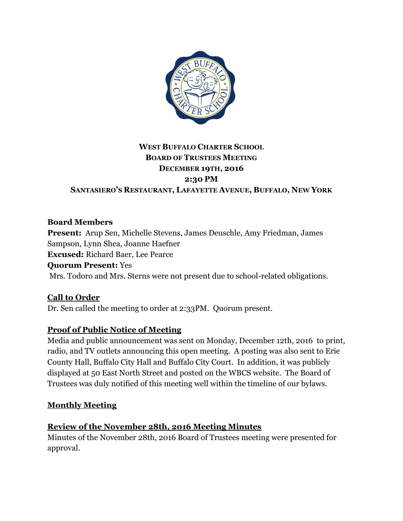

# **WEST BUFFALO CHARTER SCHOOL BOARD OF TRUSTEES MEETING DECEMBER 19TH, 2016 2:30 PM**

**SANTASIERO'S RESTAURANT, LAFAYETTE AVENUE, BUFFALO, NEW YORK**

#### **Board Members**

**Present:** Arup Sen, Michelle Stevens, James Deuschle, Amy Friedman, James Sampson, Lynn Shea, Joanne Haefner **Excused:** Richard Baer, Lee Pearce **Quorum Present:** Yes Mrs. Todoro and Mrs. Sterns were not present due to school-related obligations.

## **Call to Order**

Dr. Sen called the meeting to order at 2:33PM. Quorum present.

#### **Proof of Public Notice of Meeting**

Media and public announcement was sent on Monday, December 12th, 2016 to print, radio, and TV outlets announcing this open meeting. A posting was also sent to Erie County Hall, Buffalo City Hall and Buffalo City Court. In addition, it was publicly displayed at 50 East North Street and posted on the WBCS website. The Board of Trustees was duly notified of this meeting well within the timeline of our bylaws.

#### **Monthly Meeting**

#### **Review of the November 28th, 2016 Meeting Minutes**

Minutes of the November 28th, 2016 Board of Trustees meeting were presented for approval.